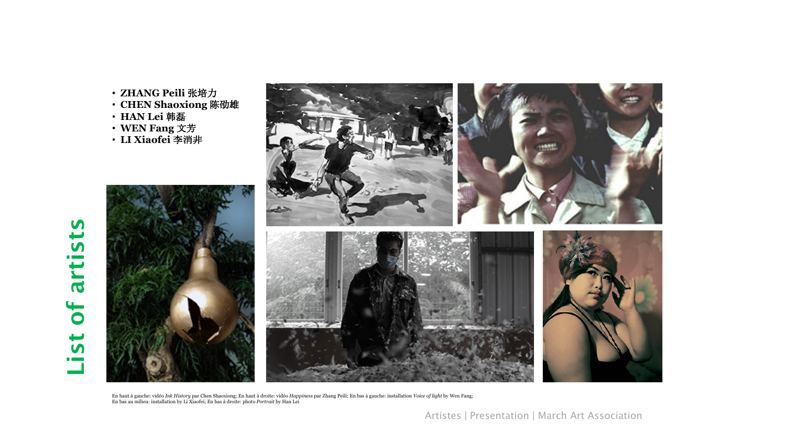- **ZHANG Peili** 张培力
- **CHEN Shaoxiong** 陈劭雄
- **HAN Lei** 韩磊
- **WEN Fang** 文芳
- **LI Xiaofei** 李消非



En haut à gauche: vidéo *Ink History* par Chen Shaoxiong; En haut à droite: vidéo *Happiness* par Zhang Peili; En bas à gauche: installation *Voice of light* by Wen Fang;<br>En bas au milieu: installation by Li Xiaofei; En ba

Artistes | Presentation | March Art Association

## of artists List of artistsList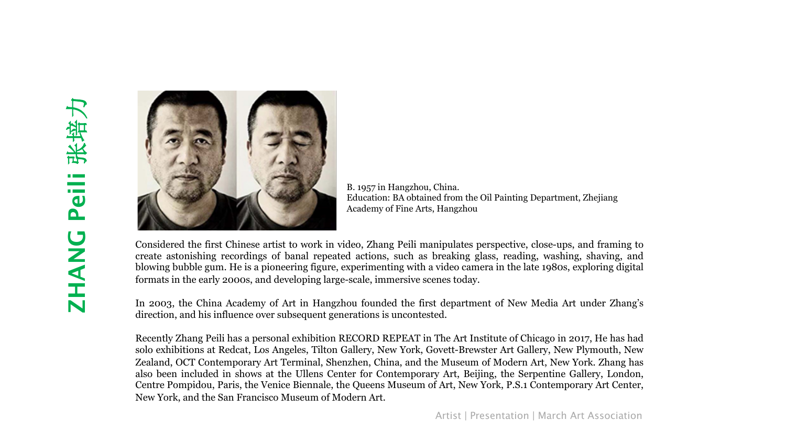

B. 1957 in Hangzhou, China. Education: BA obtained from the Oil Painting Department, Zhejiang Academy of Fine Arts, Hangzhou

Considered the first Chinese artist to work in video, Zhang Peili manipulates perspective, close-ups, and framing to create astonishing recordings of banal repeated actions, such as breaking glass, reading, washing, shaving, and blowing bubble gum. He is a pioneering figure, experimenting with a video camera in the late 1980s, exploring digital formats in the early 2000s, and developing large-scale, immersive scenes today.

In 2003, the China Academy of Art in Hangzhou founded the first department of New Media Art under Zhang's direction, and his influence over subsequent generations is uncontested.

Recently Zhang Peili has a personal exhibition RECORD REPEAT in The Art Institute of Chicago in 2017, He has had solo exhibitions at Redcat, Los Angeles, Tilton Gallery, New York, Govett-Brewster Art Gallery, New Plymouth, New Zealand, OCT Contemporary Art Terminal, Shenzhen, China, and the Museum of Modern Art, New York. Zhang has also been included in shows at the Ullens Center for Contemporary Art, Beijing, the Serpentine Gallery, London, Centre Pompidou, Paris, the Venice Biennale, the Queens Museum of Art, New York, P.S.1 Contemporary Art Center, New York, and the San Francisco Museum of Modern Art.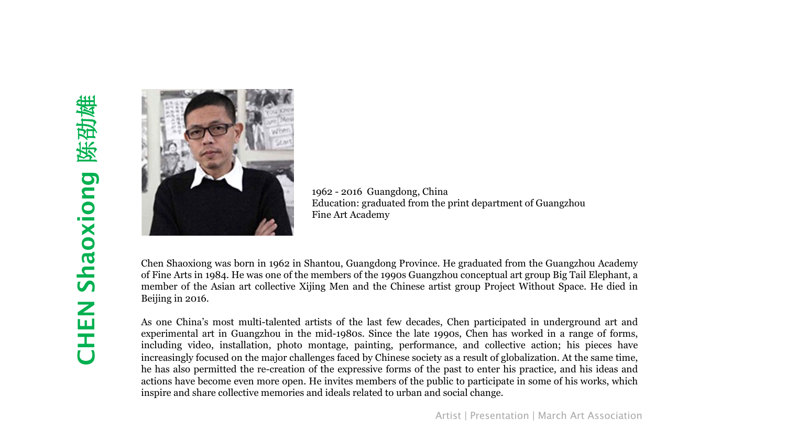

1962 - 2016 Guangdong, China Education: graduated from the print department of Guangzhou Fine Art Academy

Chen Shaoxiong was born in 1962 in Shantou, Guangdong Province. He graduated from the Guangzhou Academy of Fine Arts in 1984. He was one of the members of the 1990s Guangzhou conceptual art group Big Tail Elephant, a member of the Asian art collective Xijing Men and the Chinese artist group Project Without Space. He died in Beijing in 2016.

As one China's most multi-talented artists of the last few decades, Chen participated in underground art and experimental art in Guangzhou in the mid-1980s. Since the late 1990s, Chen has worked in a range of forms, including video, installation, photo montage, painting, performance, and collective action; his pieces have increasingly focused on the major challenges faced by Chinese society as a result of globalization. At the same time, he has also permitted the re-creation of the expressive forms of the past to enter his practice, and his ideas and actions have become even more open. He invites members of the public to participate in some of his works, which inspire and share collective memories and ideals related to urban and social change.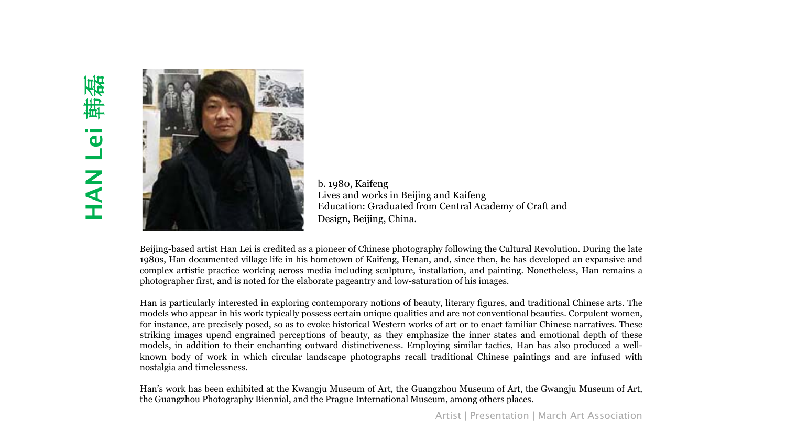

b. 1980, Kaifeng Lives and works in Beijing and Kaifeng Education: Graduated from Central Academy of Craft and Design, Beijing, China.

Beijing-based artist Han Lei is credited as a pioneer of Chinese photography following the Cultural Revolution. During the late 1980s, Han documented village life in his hometown of Kaifeng, Henan, and, since then, he has developed an expansive and complex artistic practice working across media including sculpture, installation, and painting. Nonetheless, Han remains a photographer first, and is noted for the elaborate pageantry and low-saturation of his images.

Han is particularly interested in exploring contemporary notions of beauty, literary figures, and traditional Chinese arts. The models who appear in his work typically possess certain unique qualities and are not conventional beauties. Corpulent women, for instance, are precisely posed, so as to evoke historical Western works of art or to enact familiar Chinese narratives. These striking images upend engrained perceptions of beauty, as they emphasize the inner states and emotional depth of these models, in addition to their enchanting outward distinctiveness. Employing similar tactics, Han has also produced a wellknown body of work in which circular landscape photographs recall traditional Chinese paintings and are infused with nostalgia and timelessness.

Han's work has been exhibited at the Kwangju Museum of Art, the Guangzhou Museum of Art, the Gwangju Museum of Art, the Guangzhou Photography Biennial, and the Prague International Museum, among others places.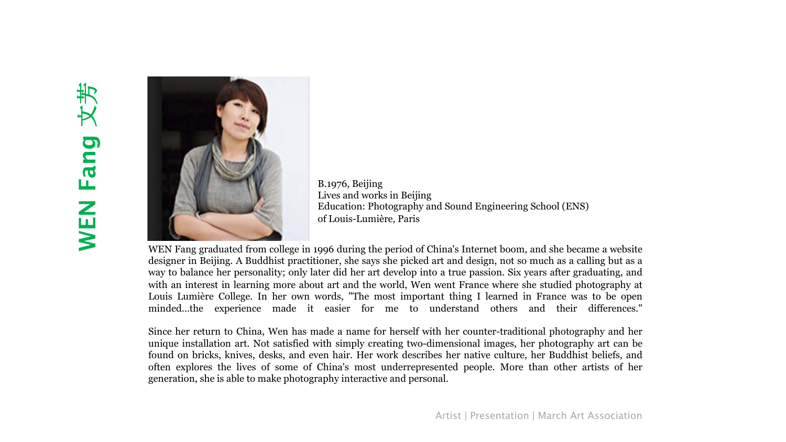

B.1976, Beijing Lives and works in Beijing Education: Photography and Sound Engineering School (ENS) of Louis-Lumière, Paris

WEN Fang graduated from college in 1996 during the period of China's Internet boom, and she became a website designer in Beijing. A Buddhist practitioner, she says she picked art and design, not so much as a calling but as a way to balance her personality; only later did her art develop into a true passion. Six years after graduating, and with an interest in learning more about art and the world, Wen went France where she studied photography at Louis Lumière College. In her own words, "The most important thing I learned in France was to be open minded…the experience made it easier for me to understand others and their differences."

Since her return to China, Wen has made a name for herself with her counter-traditional photography and her unique installation art. Not satisfied with simply creating two-dimensional images, her photography art can be found on bricks, knives, desks, and even hair. Her work describes her native culture, her Buddhist beliefs, and often explores the lives of some of China's most underrepresented people. More than other artists of her generation, she is able to make photography interactive and personal.